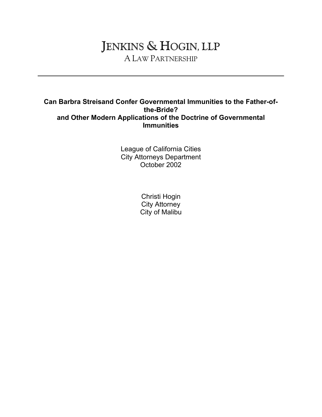# JENKINS & HOGIN, LLP A LAW PARTNERSHIP

#### **Can Barbra Streisand Confer Governmental Immunities to the Father-ofthe-Bride? and Other Modern Applications of the Doctrine of Governmental Immunities**

League of California Cities City Attorneys Department October 2002

> Christi Hogin City Attorney City of Malibu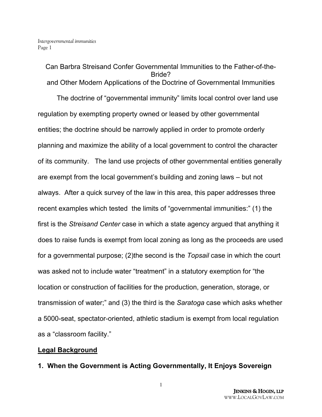Can Barbra Streisand Confer Governmental Immunities to the Father-of-the-Bride? and Other Modern Applications of the Doctrine of Governmental Immunities

The doctrine of "governmental immunity" limits local control over land use regulation by exempting property owned or leased by other governmental entities; the doctrine should be narrowly applied in order to promote orderly planning and maximize the ability of a local government to control the character of its community. The land use projects of other governmental entities generally are exempt from the local government's building and zoning laws – but not always. After a quick survey of the law in this area, this paper addresses three recent examples which tested the limits of "governmental immunities:" (1) the first is the *Streisand Center* case in which a state agency argued that anything it does to raise funds is exempt from local zoning as long as the proceeds are used for a governmental purpose; (2)the second is the *Topsail* case in which the court was asked not to include water "treatment" in a statutory exemption for "the location or construction of facilities for the production, generation, storage, or transmission of water;" and (3) the third is the *Saratoga* case which asks whether a 5000-seat, spectator-oriented, athletic stadium is exempt from local regulation as a "classroom facility."

### **Legal Background**

**1. When the Government is Acting Governmentally, It Enjoys Sovereign**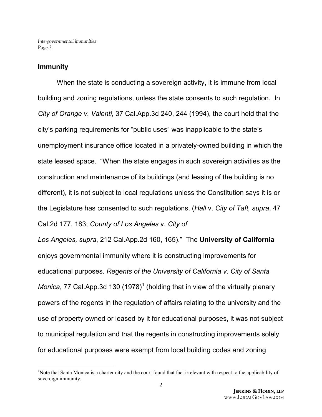#### **Immunity**

When the state is conducting a sovereign activity, it is immune from local building and zoning regulations, unless the state consents to such regulation. In *City of Orange v. Valenti,* 37 Cal.App.3d 240, 244 (1994), the court held that the city's parking requirements for "public uses" was inapplicable to the state's unemployment insurance office located in a privately-owned building in which the state leased space. "When the state engages in such sovereign activities as the construction and maintenance of its buildings (and leasing of the building is no different), it is not subject to local regulations unless the Constitution says it is or the Legislature has consented to such regulations. (*Hall* v. *City of Taft, supra*, 47 Cal.2d 177, 183; *County of Los Angeles* v. *City of* 

*Los Angeles, supra*, 212 Cal.App.2d 160, 165)." The **University of California** enjoys governmental immunity where it is constructing improvements for educational purposes. *Regents of the University of California v. City of Santa Monica*, 77 Cal.App.3d 130 (1978)<sup>1</sup> (holding that in view of the virtually plenary powers of the regents in the regulation of affairs relating to the university and the use of property owned or leased by it for educational purposes, it was not subject to municipal regulation and that the regents in constructing improvements solely for educational purposes were exempt from local building codes and zoning

<sup>&</sup>lt;sup>1</sup>Note that Santa Monica is a charter city and the court found that fact irrelevant with respect to the applicability of sovereign immunity.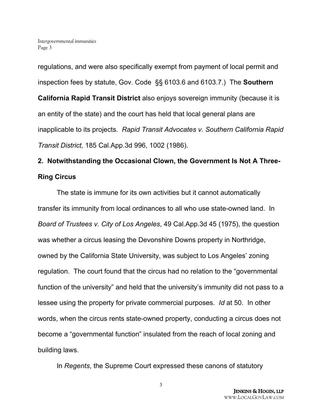regulations, and were also specifically exempt from payment of local permit and inspection fees by statute, Gov. Code §§ 6103.6 and 6103.7.) The **Southern California Rapid Transit District** also enjoys sovereign immunity (because it is an entity of the state) and the court has held that local general plans are inapplicable to its projects. *Rapid Transit Advocates v. Southern California Rapid Transit District,* 185 Cal.App.3d 996, 1002 (1986).

## **2. Notwithstanding the Occasional Clown, the Government Is Not A Three-Ring Circus**

The state is immune for its own activities but it cannot automatically transfer its immunity from local ordinances to all who use state-owned land. In *Board of Trustees v. City of Los Angeles*, 49 Cal.App.3d 45 (1975), the question was whether a circus leasing the Devonshire Downs property in Northridge, owned by the California State University, was subject to Los Angeles' zoning regulation. The court found that the circus had no relation to the "governmental function of the university" and held that the university's immunity did not pass to a lessee using the property for private commercial purposes. *Id* at 50. In other words, when the circus rents state-owned property, conducting a circus does not become a "governmental function" insulated from the reach of local zoning and building laws.

In *Regents*, the Supreme Court expressed these canons of statutory

3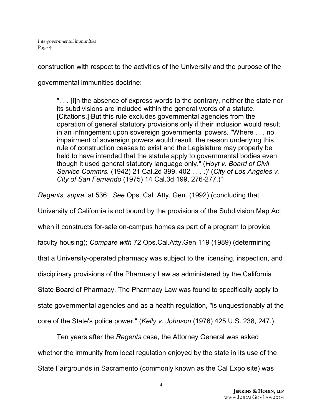construction with respect to the activities of the University and the purpose of the governmental immunities doctrine:

". . . [I]n the absence of express words to the contrary, neither the state nor its subdivisions are included within the general words of a statute. [Citations.] But this rule excludes governmental agencies from the operation of general statutory provisions only if their inclusion would result in an infringement upon sovereign governmental powers. "Where . . . no impairment of sovereign powers would result, the reason underlying this rule of construction ceases to exist and the Legislature may properly be held to have intended that the statute apply to governmental bodies even though it used general statutory language only." (*Hoyt v. Board of Civil Service Commrs.* (1942) 21 Cal.2d 399, 402 . . . .)' (*City of Los Angeles v. City of San Fernando* (1975) 14 Cal.3d 199, 276-277.)"

*Regents, supra,* at 536. *See* Ops. Cal. Atty. Gen. (1992) (concluding that University of California is not bound by the provisions of the Subdivision Map Act when it constructs for-sale on-campus homes as part of a program to provide faculty housing); *Compare with* 72 Ops.Cal.Atty.Gen 119 (1989) (determining that a University-operated pharmacy was subject to the licensing, inspection, and disciplinary provisions of the Pharmacy Law as administered by the California State Board of Pharmacy. The Pharmacy Law was found to specifically apply to state governmental agencies and as a health regulation, "is unquestionably at the core of the State's police power." (*Kelly v. Johnson* (1976) 425 U.S. 238, 247.)

Ten years after the *Regents* case, the Attorney General was asked whether the immunity from local regulation enjoyed by the state in its use of the State Fairgrounds in Sacramento (commonly known as the Cal Expo site) was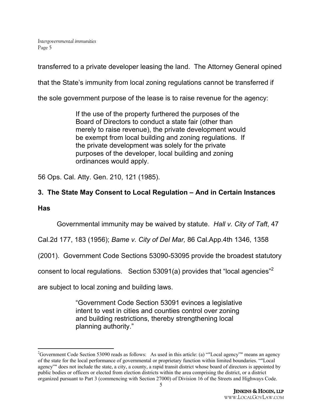transferred to a private developer leasing the land. The Attorney General opined

that the State's immunity from local zoning regulations cannot be transferred if

the sole government purpose of the lease is to raise revenue for the agency:

If the use of the property furthered the purposes of the Board of Directors to conduct a state fair (other than merely to raise revenue), the private development would be exempt from local building and zoning regulations. If the private development was solely for the private purposes of the developer, local building and zoning ordinances would apply.

56 Ops. Cal. Atty. Gen. 210, 121 (1985).

## **3. The State May Consent to Local Regulation – And in Certain Instances**

#### **Has**

Governmental immunity may be waived by statute. *Hall v. City of Taft*, 47

Cal.2d 177, 183 (1956); *Bame v. City of Del Mar,* 86 Cal.App.4th 1346, 1358

(2001). Government Code Sections 53090-53095 provide the broadest statutory

consent to local regulations. Section 53091(a) provides that "local agencies"<sup>2</sup>

are subject to local zoning and building laws.

"Government Code Section 53091 evinces a legislative intent to vest in cities and counties control over zoning and building restrictions, thereby strengthening local planning authority."

<sup>2</sup>Government Code Section 53090 reads as follows: As used in this article: (a) ""Local agency"" means an agency of the state for the local performance of governmental or proprietary function within limited boundaries. ""Local agency"" does not include the state, a city, a county, a rapid transit district whose board of directors is appointed by public bodies or officers or elected from election districts within the area comprising the district, or a district organized pursuant to Part 3 (commencing with Section 27000) of Division 16 of the Streets and Highways Code.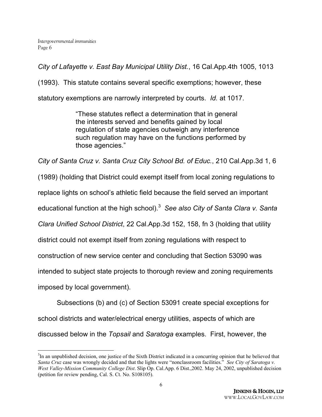*City of Lafayette v. East Bay Municipal Utility Dist.*, 16 Cal.App.4th 1005, 1013

(1993). This statute contains several specific exemptions; however, these

statutory exemptions are narrowly interpreted by courts. *Id.* at 1017.

"These statutes reflect a determination that in general the interests served and benefits gained by local regulation of state agencies outweigh any interference such regulation may have on the functions performed by those agencies."

*City of Santa Cruz v. Santa Cruz City School Bd. of Educ.*, 210 Cal.App.3d 1, 6

(1989) (holding that District could exempt itself from local zoning regulations to

replace lights on school's athletic field because the field served an important

educational function at the high school).<sup>3</sup> *See also City of Santa Clara v. Santa* 

*Clara Unified School District*, 22 Cal.App.3d 152, 158, fn 3 (holding that utility

district could not exempt itself from zoning regulations with respect to

construction of new service center and concluding that Section 53090 was

intended to subject state projects to thorough review and zoning requirements

imposed by local government).

Subsections (b) and (c) of Section 53091 create special exceptions for school districts and water/electrical energy utilities, aspects of which are

discussed below in the *Topsail* and *Saratoga* examples. First, however, the

<sup>&</sup>lt;sup>3</sup>In an unpublished decision, one justice of the Sixth District indicated in a concurring opinion that he believed that *Santa Cruz* case was wrongly decided and that the lights were "nonclassroom facilities." *See City of Saratoga v. West Valley-Mission Community College Dist*. Slip Op. Cal.App. 6 Dist.,2002. May 24, 2002, unpublished decision (petition for review pending, Cal. S. Ct. No. S108105).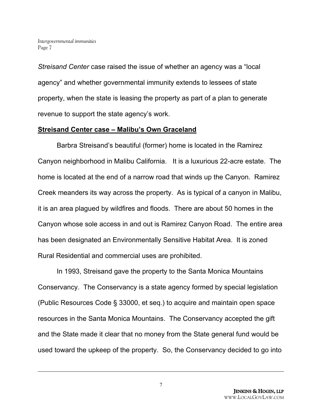*Streisand Center* case raised the issue of whether an agency was a "local agency" and whether governmental immunity extends to lessees of state property, when the state is leasing the property as part of a plan to generate revenue to support the state agency's work.

#### **Streisand Center case – Malibu's Own Graceland**

Barbra Streisand's beautiful (former) home is located in the Ramirez Canyon neighborhood in Malibu California. It is a luxurious 22-acre estate. The home is located at the end of a narrow road that winds up the Canyon. Ramirez Creek meanders its way across the property. As is typical of a canyon in Malibu, it is an area plagued by wildfires and floods. There are about 50 homes in the Canyon whose sole access in and out is Ramirez Canyon Road. The entire area has been designated an Environmentally Sensitive Habitat Area. It is zoned Rural Residential and commercial uses are prohibited.

In 1993, Streisand gave the property to the Santa Monica Mountains Conservancy. The Conservancy is a state agency formed by special legislation (Public Resources Code § 33000, et seq.) to acquire and maintain open space resources in the Santa Monica Mountains. The Conservancy accepted the gift and the State made it clear that no money from the State general fund would be used toward the upkeep of the property. So, the Conservancy decided to go into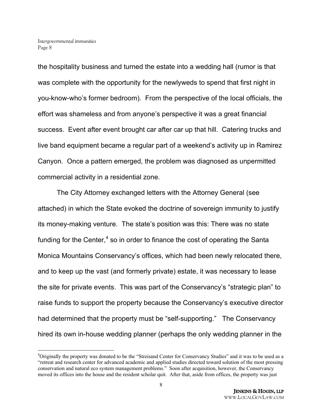the hospitality business and turned the estate into a wedding hall (rumor is that was complete with the opportunity for the newlyweds to spend that first night in you-know-who's former bedroom). From the perspective of the local officials, the effort was shameless and from anyone's perspective it was a great financial success. Event after event brought car after car up that hill. Catering trucks and live band equipment became a regular part of a weekend's activity up in Ramirez Canyon. Once a pattern emerged, the problem was diagnosed as unpermitted commercial activity in a residential zone.

The City Attorney exchanged letters with the Attorney General (see attached) in which the State evoked the doctrine of sovereign immunity to justify its money-making venture. The state's position was this: There was no state funding for the Center, $4$  so in order to finance the cost of operating the Santa Monica Mountains Conservancy's offices, which had been newly relocated there, and to keep up the vast (and formerly private) estate, it was necessary to lease the site for private events. This was part of the Conservancy's "strategic plan" to raise funds to support the property because the Conservancy's executive director had determined that the property must be "self-supporting." The Conservancy hired its own in-house wedding planner (perhaps the only wedding planner in the

<sup>&</sup>lt;sup>4</sup>Originally the property was donated to be the "Streisand Center for Conservancy Studies" and it was to be used as a "retreat and research center for advanced academic and applied studies directed toward solution of the most pressing conservation and natural eco system management problems." Soon after acquisition, however, the Conservancy moved its offices into the house and the resident scholar quit. After that, aside from offices, the property was just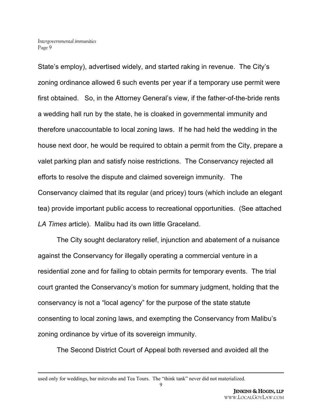State's employ), advertised widely, and started raking in revenue. The City's zoning ordinance allowed 6 such events per year if a temporary use permit were first obtained. So, in the Attorney General's view, if the father-of-the-bride rents a wedding hall run by the state, he is cloaked in governmental immunity and therefore unaccountable to local zoning laws. If he had held the wedding in the house next door, he would be required to obtain a permit from the City, prepare a valet parking plan and satisfy noise restrictions. The Conservancy rejected all efforts to resolve the dispute and claimed sovereign immunity. The Conservancy claimed that its regular (and pricey) tours (which include an elegant tea) provide important public access to recreational opportunities. (See attached *LA Times* article). Malibu had its own little Graceland.

The City sought declaratory relief, injunction and abatement of a nuisance against the Conservancy for illegally operating a commercial venture in a residential zone and for failing to obtain permits for temporary events. The trial court granted the Conservancy's motion for summary judgment, holding that the conservancy is not a "local agency" for the purpose of the state statute consenting to local zoning laws, and exempting the Conservancy from Malibu's zoning ordinance by virtue of its sovereign immunity.

The Second District Court of Appeal both reversed and avoided all the

used only for weddings, bar mitzvahs and Tea Tours. The "think tank" never did not materialized.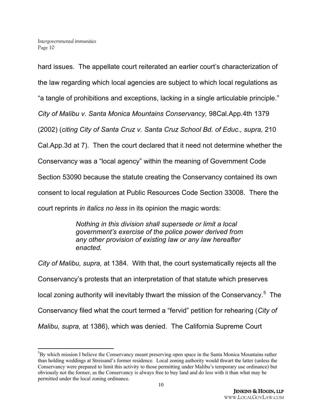hard issues. The appellate court reiterated an earlier court's characterization of the law regarding which local agencies are subject to which local regulations as "a tangle of prohibitions and exceptions, lacking in a single articulable principle." *City of Malibu v. Santa Monica Mountains Conservancy,* 98Cal.App.4th 1379 (2002) (*citing City of Santa Cruz v. Santa Cruz School Bd. of Educ., supra,* 210 Cal.App.3d at 7). Then the court declared that it need not determine whether the Conservancy was a "local agency" within the meaning of Government Code Section 53090 because the statute creating the Conservancy contained its own consent to local regulation at Public Resources Code Section 33008. There the court reprints *in italics no less* in its opinion the magic words:

> *Nothing in this division shall supersede or limit a local government's exercise of the police power derived from any other provision of existing law or any law hereafter enacted.*

*City of Malibu, supra,* at 1384. With that, the court systematically rejects all the Conservancy's protests that an interpretation of that statute which preserves local zoning authority will inevitably thwart the mission of the Conservancy.<sup>5</sup> The Conservancy filed what the court termed a "fervid" petition for rehearing (*City of Malibu, supra,* at 1386), which was denied. The California Supreme Court

<sup>5</sup>By which mission I believe the Conservancy meant preserving open space in the Santa Monica Mountains rather than holding weddings at Streisand's former residence. Local zoning authority would thwart the latter (unless the Conservancy were prepared to limit this activity to those permitting under Malibu's temporary use ordinance) but obviously not the former, as the Conservancy is always free to buy land and do less with it than what may be permitted under the local zoning ordinance.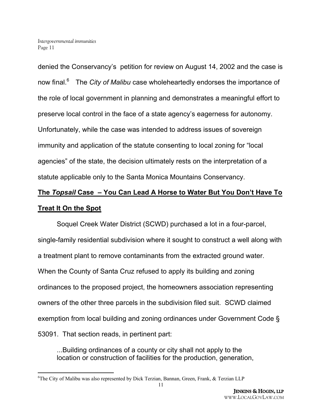denied the Conservancy's petition for review on August 14, 2002 and the case is now final.<sup>6</sup> The *City of Malibu* case wholeheartedly endorses the importance of the role of local government in planning and demonstrates a meaningful effort to preserve local control in the face of a state agency's eagerness for autonomy. Unfortunately, while the case was intended to address issues of sovereign immunity and application of the statute consenting to local zoning for "local agencies" of the state, the decision ultimately rests on the interpretation of a statute applicable only to the Santa Monica Mountains Conservancy.

# **The** *Topsail* **Case – You Can Lead A Horse to Water But You Don't Have To Treat It On the Spot**

Soquel Creek Water District (SCWD) purchased a lot in a four-parcel, single-family residential subdivision where it sought to construct a well along with a treatment plant to remove contaminants from the extracted ground water. When the County of Santa Cruz refused to apply its building and zoning ordinances to the proposed project, the homeowners association representing owners of the other three parcels in the subdivision filed suit. SCWD claimed exemption from local building and zoning ordinances under Government Code § 53091. That section reads, in pertinent part:

...Building ordinances of a county or city shall not apply to the location or construction of facilities for the production, generation,

<sup>&</sup>lt;sup>6</sup>The City of Malibu was also represented by Dick Terzian, Bannan, Green, Frank, & Terzian LLP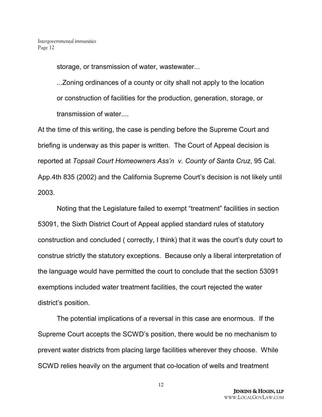storage, or transmission of water, wastewater...

...Zoning ordinances of a county or city shall not apply to the location or construction of facilities for the production, generation, storage, or transmission of water....

At the time of this writing, the case is pending before the Supreme Court and briefing is underway as this paper is written. The Court of Appeal decision is reported at *Topsail Court Homeowners Ass'n v. County of Santa Cruz*, 95 Cal. App.4th 835 (2002) and the California Supreme Court's decision is not likely until 2003.

Noting that the Legislature failed to exempt "treatment" facilities in section 53091, the Sixth District Court of Appeal applied standard rules of statutory construction and concluded ( correctly, I think) that it was the court's duty court to construe strictly the statutory exceptions. Because only a liberal interpretation of the language would have permitted the court to conclude that the section 53091 exemptions included water treatment facilities, the court rejected the water district's position.

The potential implications of a reversal in this case are enormous. If the Supreme Court accepts the SCWD's position, there would be no mechanism to prevent water districts from placing large facilities wherever they choose. While SCWD relies heavily on the argument that co-location of wells and treatment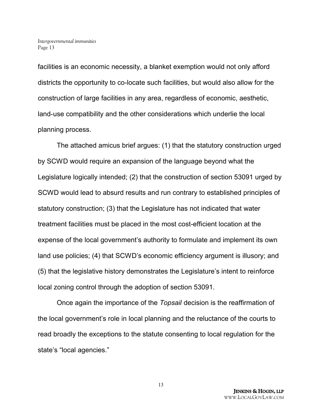facilities is an economic necessity, a blanket exemption would not only afford districts the opportunity to co-locate such facilities, but would also allow for the construction of large facilities in any area, regardless of economic, aesthetic, land-use compatibility and the other considerations which underlie the local planning process.

The attached amicus brief argues: (1) that the statutory construction urged by SCWD would require an expansion of the language beyond what the Legislature logically intended; (2) that the construction of section 53091 urged by SCWD would lead to absurd results and run contrary to established principles of statutory construction; (3) that the Legislature has not indicated that water treatment facilities must be placed in the most cost-efficient location at the expense of the local government's authority to formulate and implement its own land use policies; (4) that SCWD's economic efficiency argument is illusory; and (5) that the legislative history demonstrates the Legislature's intent to reinforce local zoning control through the adoption of section 53091.

Once again the importance of the *Topsail* decision is the reaffirmation of the local government's role in local planning and the reluctance of the courts to read broadly the exceptions to the statute consenting to local regulation for the state's "local agencies."

13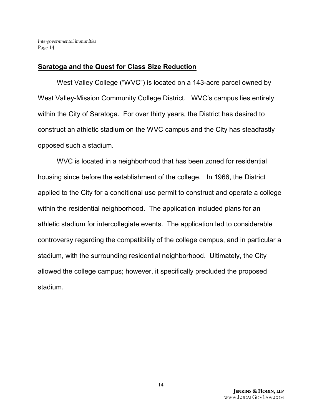### **Saratoga and the Quest for Class Size Reduction**

West Valley College ("WVC") is located on a 143-acre parcel owned by West Valley-Mission Community College District. WVC's campus lies entirely within the City of Saratoga. For over thirty years, the District has desired to construct an athletic stadium on the WVC campus and the City has steadfastly opposed such a stadium.

WVC is located in a neighborhood that has been zoned for residential housing since before the establishment of the college. In 1966, the District applied to the City for a conditional use permit to construct and operate a college within the residential neighborhood. The application included plans for an athletic stadium for intercollegiate events. The application led to considerable controversy regarding the compatibility of the college campus, and in particular a stadium, with the surrounding residential neighborhood. Ultimately, the City allowed the college campus; however, it specifically precluded the proposed stadium.

14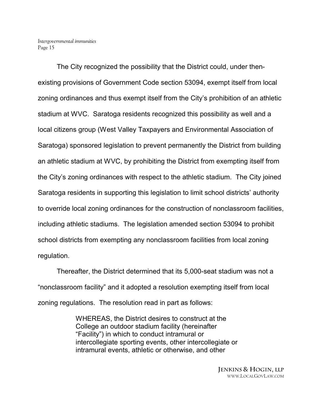The City recognized the possibility that the District could, under thenexisting provisions of Government Code section 53094, exempt itself from local zoning ordinances and thus exempt itself from the City's prohibition of an athletic stadium at WVC. Saratoga residents recognized this possibility as well and a local citizens group (West Valley Taxpayers and Environmental Association of Saratoga) sponsored legislation to prevent permanently the District from building an athletic stadium at WVC, by prohibiting the District from exempting itself from the City's zoning ordinances with respect to the athletic stadium. The City joined Saratoga residents in supporting this legislation to limit school districts' authority to override local zoning ordinances for the construction of nonclassroom facilities, including athletic stadiums. The legislation amended section 53094 to prohibit school districts from exempting any nonclassroom facilities from local zoning regulation.

Thereafter, the District determined that its 5,000-seat stadium was not a "nonclassroom facility" and it adopted a resolution exempting itself from local zoning regulations. The resolution read in part as follows:

> WHEREAS, the District desires to construct at the College an outdoor stadium facility (hereinafter "Facility") in which to conduct intramural or intercollegiate sporting events, other intercollegiate or intramural events, athletic or otherwise, and other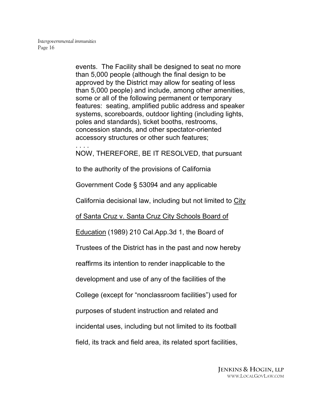. . . .

events. The Facility shall be designed to seat no more than 5,000 people (although the final design to be approved by the District may allow for seating of less than 5,000 people) and include, among other amenities, some or all of the following permanent or temporary features: seating, amplified public address and speaker systems, scoreboards, outdoor lighting (including lights, poles and standards), ticket booths, restrooms, concession stands, and other spectator-oriented accessory structures or other such features;

NOW, THEREFORE, BE IT RESOLVED, that pursuant

to the authority of the provisions of California

Government Code § 53094 and any applicable

California decisional law, including but not limited to City

of Santa Cruz v. Santa Cruz City Schools Board of

Education (1989) 210 Cal.App.3d 1, the Board of

Trustees of the District has in the past and now hereby

reaffirms its intention to render inapplicable to the

development and use of any of the facilities of the

College (except for "nonclassroom facilities") used for

purposes of student instruction and related and

incidental uses, including but not limited to its football

field, its track and field area, its related sport facilities,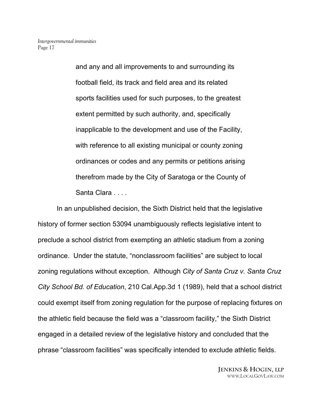and any and all improvements to and surrounding its football field, its track and field area and its related sports facilities used for such purposes, to the greatest extent permitted by such authority, and, specifically inapplicable to the development and use of the Facility, with reference to all existing municipal or county zoning ordinances or codes and any permits or petitions arising therefrom made by the City of Saratoga or the County of Santa Clara . . . .

In an unpublished decision, the Sixth District held that the legislative history of former section 53094 unambiguously reflects legislative intent to preclude a school district from exempting an athletic stadium from a zoning ordinance. Under the statute, "nonclassroom facilities" are subject to local zoning regulations without exception. Although *City of Santa Cruz v. Santa Cruz City School Bd. of Education*, 210 Cal.App.3d 1 (1989), held that a school district could exempt itself from zoning regulation for the purpose of replacing fixtures on the athletic field because the field was a "classroom facility," the Sixth District engaged in a detailed review of the legislative history and concluded that the phrase "classroom facilities" was specifically intended to exclude athletic fields.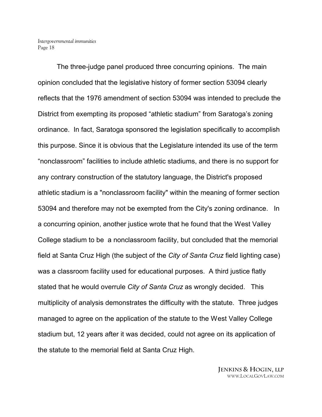The three-judge panel produced three concurring opinions. The main opinion concluded that the legislative history of former section 53094 clearly reflects that the 1976 amendment of section 53094 was intended to preclude the District from exempting its proposed "athletic stadium" from Saratoga's zoning ordinance. In fact, Saratoga sponsored the legislation specifically to accomplish this purpose. Since it is obvious that the Legislature intended its use of the term "nonclassroom" facilities to include athletic stadiums, and there is no support for any contrary construction of the statutory language, the District's proposed athletic stadium is a "nonclassroom facility" within the meaning of former section 53094 and therefore may not be exempted from the City's zoning ordinance. In a concurring opinion, another justice wrote that he found that the West Valley College stadium to be a nonclassroom facility, but concluded that the memorial field at Santa Cruz High (the subject of the *City of Santa Cruz* field lighting case) was a classroom facility used for educational purposes. A third justice flatly stated that he would overrule *City of Santa Cruz* as wrongly decided. This multiplicity of analysis demonstrates the difficulty with the statute. Three judges managed to agree on the application of the statute to the West Valley College stadium but, 12 years after it was decided, could not agree on its application of the statute to the memorial field at Santa Cruz High.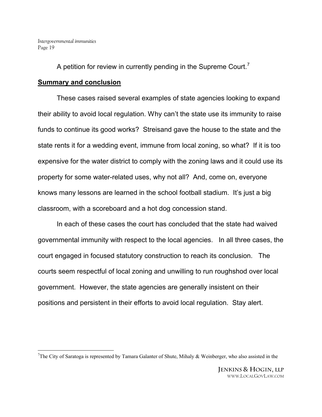A petition for review in currently pending in the Supreme Court.<sup>7</sup>

### **Summary and conclusion**

These cases raised several examples of state agencies looking to expand their ability to avoid local regulation. Why can't the state use its immunity to raise funds to continue its good works? Streisand gave the house to the state and the state rents it for a wedding event, immune from local zoning, so what? If it is too expensive for the water district to comply with the zoning laws and it could use its property for some water-related uses, why not all? And, come on, everyone knows many lessons are learned in the school football stadium. It's just a big classroom, with a scoreboard and a hot dog concession stand.

In each of these cases the court has concluded that the state had waived governmental immunity with respect to the local agencies. In all three cases, the court engaged in focused statutory construction to reach its conclusion. The courts seem respectful of local zoning and unwilling to run roughshod over local government. However, the state agencies are generally insistent on their positions and persistent in their efforts to avoid local regulation. Stay alert.

<sup>&</sup>lt;sup>7</sup>The City of Saratoga is represented by Tamara Galanter of Shute, Mihaly & Weinberger, who also assisted in the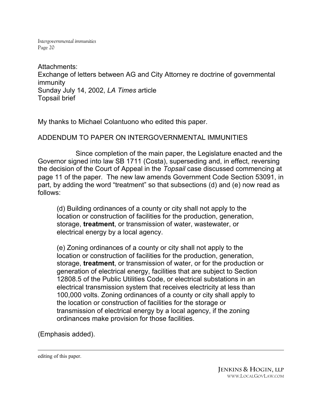Attachments: Exchange of letters between AG and City Attorney re doctrine of governmental immunity Sunday July 14, 2002, *LA Times* article Topsail brief

My thanks to Michael Colantuono who edited this paper.

#### ADDENDUM TO PAPER ON INTERGOVERNMENTAL IMMUNITIES

Since completion of the main paper, the Legislature enacted and the Governor signed into law SB 1711 (Costa), superseding and, in effect, reversing the decision of the Court of Appeal in the *Topsail* case discussed commencing at page 11 of the paper. The new law amends Government Code Section 53091, in part, by adding the word "treatment" so that subsections (d) and (e) now read as follows:

(d) Building ordinances of a county or city shall not apply to the location or construction of facilities for the production, generation, storage, **treatment**, or transmission of water, wastewater, or electrical energy by a local agency.

(e) Zoning ordinances of a county or city shall not apply to the location or construction of facilities for the production, generation, storage, **treatment**, or transmission of water, or for the production or generation of electrical energy, facilities that are subject to Section 12808.5 of the Public Utilities Code, or electrical substations in an electrical transmission system that receives electricity at less than 100,000 volts. Zoning ordinances of a county or city shall apply to the location or construction of facilities for the storage or transmission of electrical energy by a local agency, if the zoning ordinances make provision for those facilities.

(Emphasis added).

editing of this paper.